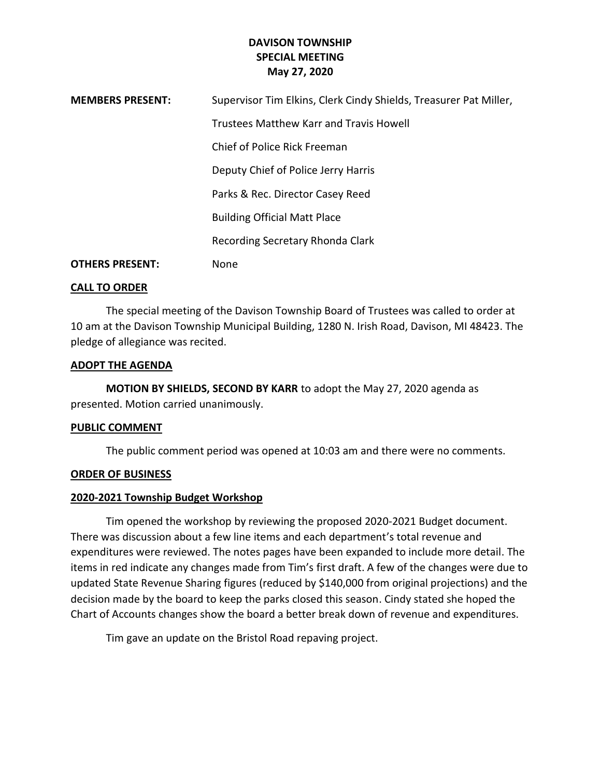# **DAVISON TOWNSHIP SPECIAL MEETING May 27, 2020**

| <b>MEMBERS PRESENT:</b> | Supervisor Tim Elkins, Clerk Cindy Shields, Treasurer Pat Miller, |
|-------------------------|-------------------------------------------------------------------|
|                         | Trustees Matthew Karr and Travis Howell                           |
|                         | Chief of Police Rick Freeman                                      |
|                         | Deputy Chief of Police Jerry Harris                               |
|                         | Parks & Rec. Director Casey Reed                                  |
|                         | <b>Building Official Matt Place</b>                               |
|                         | Recording Secretary Rhonda Clark                                  |
| <b>OTHERS PRESENT:</b>  | None                                                              |

## **CALL TO ORDER**

The special meeting of the Davison Township Board of Trustees was called to order at 10 am at the Davison Township Municipal Building, 1280 N. Irish Road, Davison, MI 48423. The pledge of allegiance was recited.

## **ADOPT THE AGENDA**

**MOTION BY SHIELDS, SECOND BY KARR** to adopt the May 27, 2020 agenda as presented. Motion carried unanimously.

#### **PUBLIC COMMENT**

The public comment period was opened at 10:03 am and there were no comments.

# **ORDER OF BUSINESS**

#### **2020-2021 Township Budget Workshop**

Tim opened the workshop by reviewing the proposed 2020-2021 Budget document. There was discussion about a few line items and each department's total revenue and expenditures were reviewed. The notes pages have been expanded to include more detail. The items in red indicate any changes made from Tim's first draft. A few of the changes were due to updated State Revenue Sharing figures (reduced by \$140,000 from original projections) and the decision made by the board to keep the parks closed this season. Cindy stated she hoped the Chart of Accounts changes show the board a better break down of revenue and expenditures.

Tim gave an update on the Bristol Road repaving project.